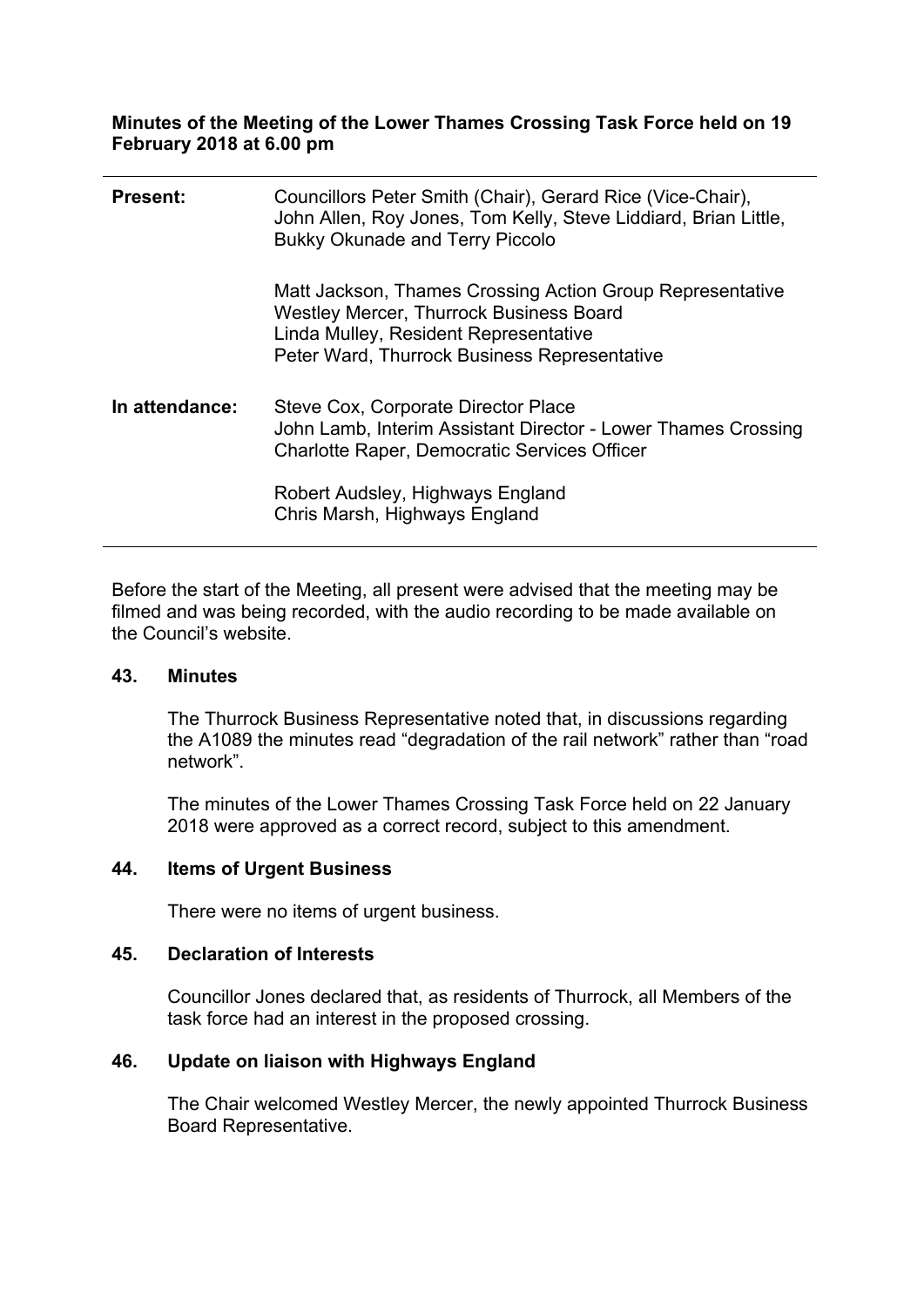### **Minutes of the Meeting of the Lower Thames Crossing Task Force held on 19 February 2018 at 6.00 pm**

| <b>Present:</b> | Councillors Peter Smith (Chair), Gerard Rice (Vice-Chair),<br>John Allen, Roy Jones, Tom Kelly, Steve Liddiard, Brian Little,<br><b>Bukky Okunade and Terry Piccolo</b>                              |
|-----------------|------------------------------------------------------------------------------------------------------------------------------------------------------------------------------------------------------|
|                 | Matt Jackson, Thames Crossing Action Group Representative<br><b>Westley Mercer, Thurrock Business Board</b><br>Linda Mulley, Resident Representative<br>Peter Ward, Thurrock Business Representative |
| In attendance:  | Steve Cox, Corporate Director Place<br>John Lamb, Interim Assistant Director - Lower Thames Crossing<br><b>Charlotte Raper, Democratic Services Officer</b>                                          |
|                 | Robert Audsley, Highways England<br>Chris Marsh, Highways England                                                                                                                                    |

Before the start of the Meeting, all present were advised that the meeting may be filmed and was being recorded, with the audio recording to be made available on the Council's website.

### **43. Minutes**

The Thurrock Business Representative noted that, in discussions regarding the A1089 the minutes read "degradation of the rail network" rather than "road network".

The minutes of the Lower Thames Crossing Task Force held on 22 January 2018 were approved as a correct record, subject to this amendment.

### **44. Items of Urgent Business**

There were no items of urgent business.

#### **45. Declaration of Interests**

Councillor Jones declared that, as residents of Thurrock, all Members of the task force had an interest in the proposed crossing.

### **46. Update on liaison with Highways England**

The Chair welcomed Westley Mercer, the newly appointed Thurrock Business Board Representative.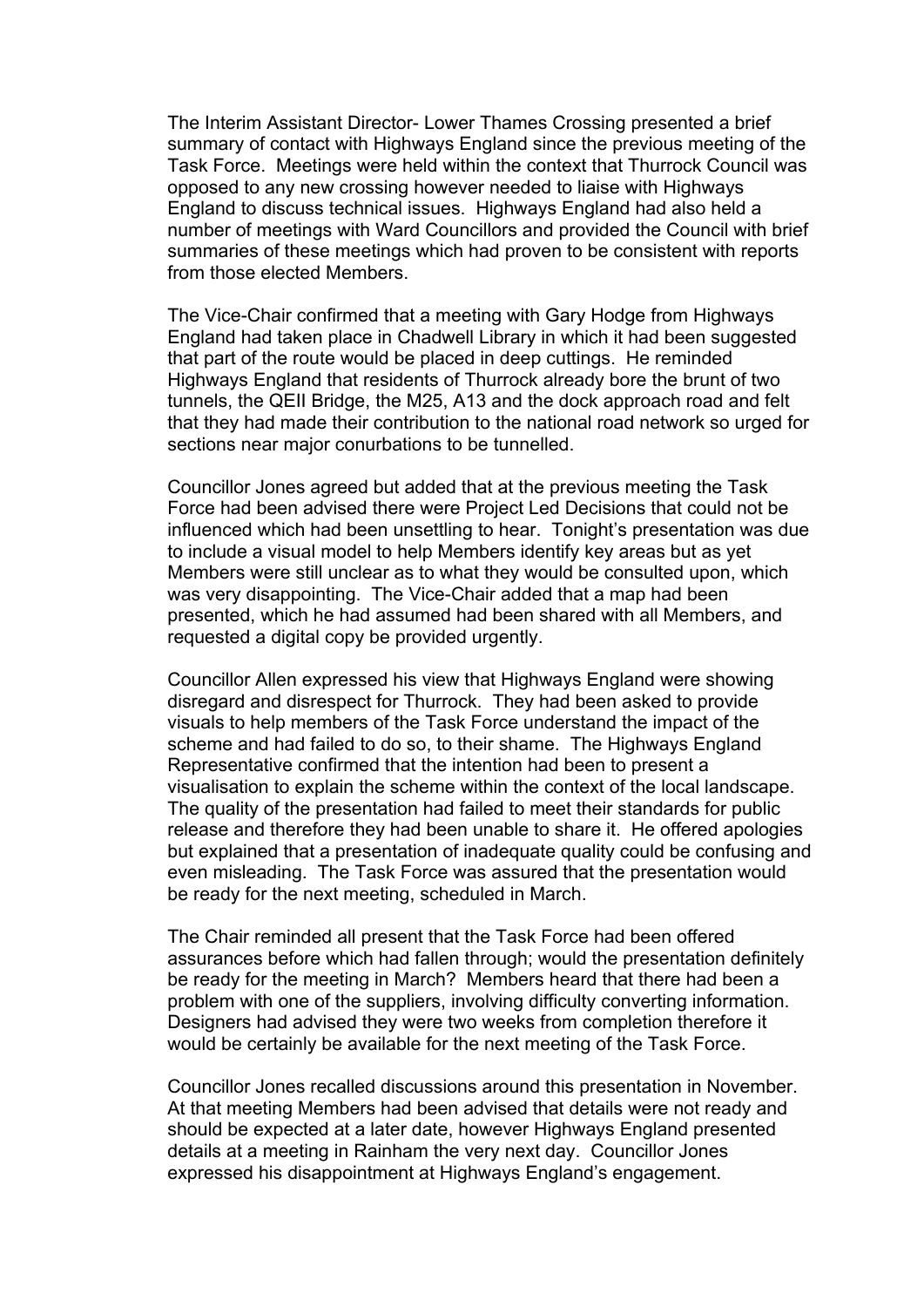The Interim Assistant Director- Lower Thames Crossing presented a brief summary of contact with Highways England since the previous meeting of the Task Force. Meetings were held within the context that Thurrock Council was opposed to any new crossing however needed to liaise with Highways England to discuss technical issues. Highways England had also held a number of meetings with Ward Councillors and provided the Council with brief summaries of these meetings which had proven to be consistent with reports from those elected Members.

The Vice-Chair confirmed that a meeting with Gary Hodge from Highways England had taken place in Chadwell Library in which it had been suggested that part of the route would be placed in deep cuttings. He reminded Highways England that residents of Thurrock already bore the brunt of two tunnels, the QEII Bridge, the M25, A13 and the dock approach road and felt that they had made their contribution to the national road network so urged for sections near major conurbations to be tunnelled.

Councillor Jones agreed but added that at the previous meeting the Task Force had been advised there were Project Led Decisions that could not be influenced which had been unsettling to hear. Tonight's presentation was due to include a visual model to help Members identify key areas but as yet Members were still unclear as to what they would be consulted upon, which was very disappointing. The Vice-Chair added that a map had been presented, which he had assumed had been shared with all Members, and requested a digital copy be provided urgently.

Councillor Allen expressed his view that Highways England were showing disregard and disrespect for Thurrock. They had been asked to provide visuals to help members of the Task Force understand the impact of the scheme and had failed to do so, to their shame. The Highways England Representative confirmed that the intention had been to present a visualisation to explain the scheme within the context of the local landscape. The quality of the presentation had failed to meet their standards for public release and therefore they had been unable to share it. He offered apologies but explained that a presentation of inadequate quality could be confusing and even misleading. The Task Force was assured that the presentation would be ready for the next meeting, scheduled in March.

The Chair reminded all present that the Task Force had been offered assurances before which had fallen through; would the presentation definitely be ready for the meeting in March? Members heard that there had been a problem with one of the suppliers, involving difficulty converting information. Designers had advised they were two weeks from completion therefore it would be certainly be available for the next meeting of the Task Force.

Councillor Jones recalled discussions around this presentation in November. At that meeting Members had been advised that details were not ready and should be expected at a later date, however Highways England presented details at a meeting in Rainham the very next day. Councillor Jones expressed his disappointment at Highways England's engagement.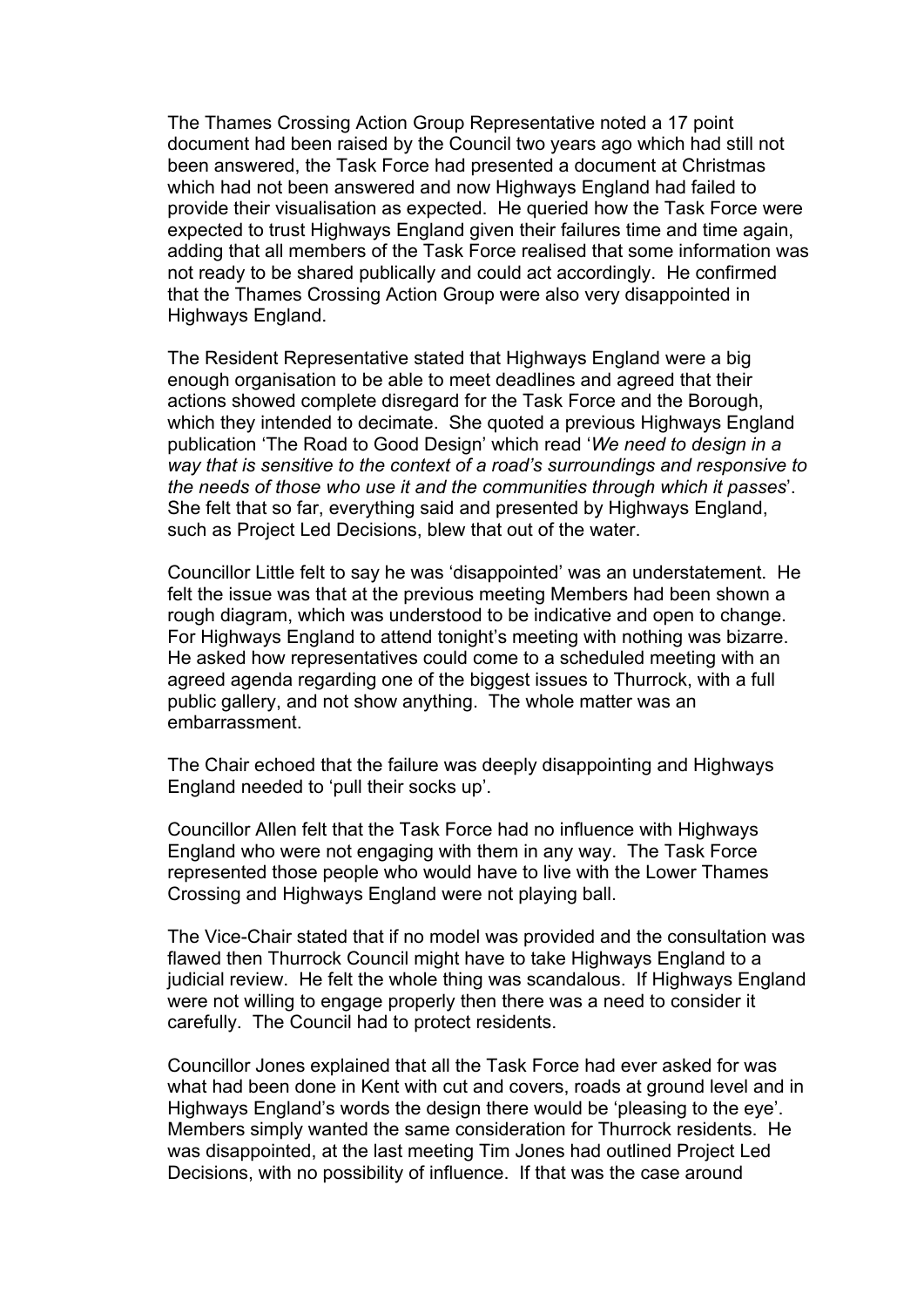The Thames Crossing Action Group Representative noted a 17 point document had been raised by the Council two years ago which had still not been answered, the Task Force had presented a document at Christmas which had not been answered and now Highways England had failed to provide their visualisation as expected. He queried how the Task Force were expected to trust Highways England given their failures time and time again, adding that all members of the Task Force realised that some information was not ready to be shared publically and could act accordingly. He confirmed that the Thames Crossing Action Group were also very disappointed in Highways England.

The Resident Representative stated that Highways England were a big enough organisation to be able to meet deadlines and agreed that their actions showed complete disregard for the Task Force and the Borough, which they intended to decimate. She quoted a previous Highways England publication 'The Road to Good Design' which read '*We need to design in a way that is sensitive to the context of a road's surroundings and responsive to the needs of those who use it and the communities through which it passes*'. She felt that so far, everything said and presented by Highways England, such as Project Led Decisions, blew that out of the water.

Councillor Little felt to say he was 'disappointed' was an understatement. He felt the issue was that at the previous meeting Members had been shown a rough diagram, which was understood to be indicative and open to change. For Highways England to attend tonight's meeting with nothing was bizarre. He asked how representatives could come to a scheduled meeting with an agreed agenda regarding one of the biggest issues to Thurrock, with a full public gallery, and not show anything. The whole matter was an embarrassment.

The Chair echoed that the failure was deeply disappointing and Highways England needed to 'pull their socks up'.

Councillor Allen felt that the Task Force had no influence with Highways England who were not engaging with them in any way. The Task Force represented those people who would have to live with the Lower Thames Crossing and Highways England were not playing ball.

The Vice-Chair stated that if no model was provided and the consultation was flawed then Thurrock Council might have to take Highways England to a judicial review. He felt the whole thing was scandalous. If Highways England were not willing to engage properly then there was a need to consider it carefully. The Council had to protect residents.

Councillor Jones explained that all the Task Force had ever asked for was what had been done in Kent with cut and covers, roads at ground level and in Highways England's words the design there would be 'pleasing to the eye'. Members simply wanted the same consideration for Thurrock residents. He was disappointed, at the last meeting Tim Jones had outlined Project Led Decisions, with no possibility of influence. If that was the case around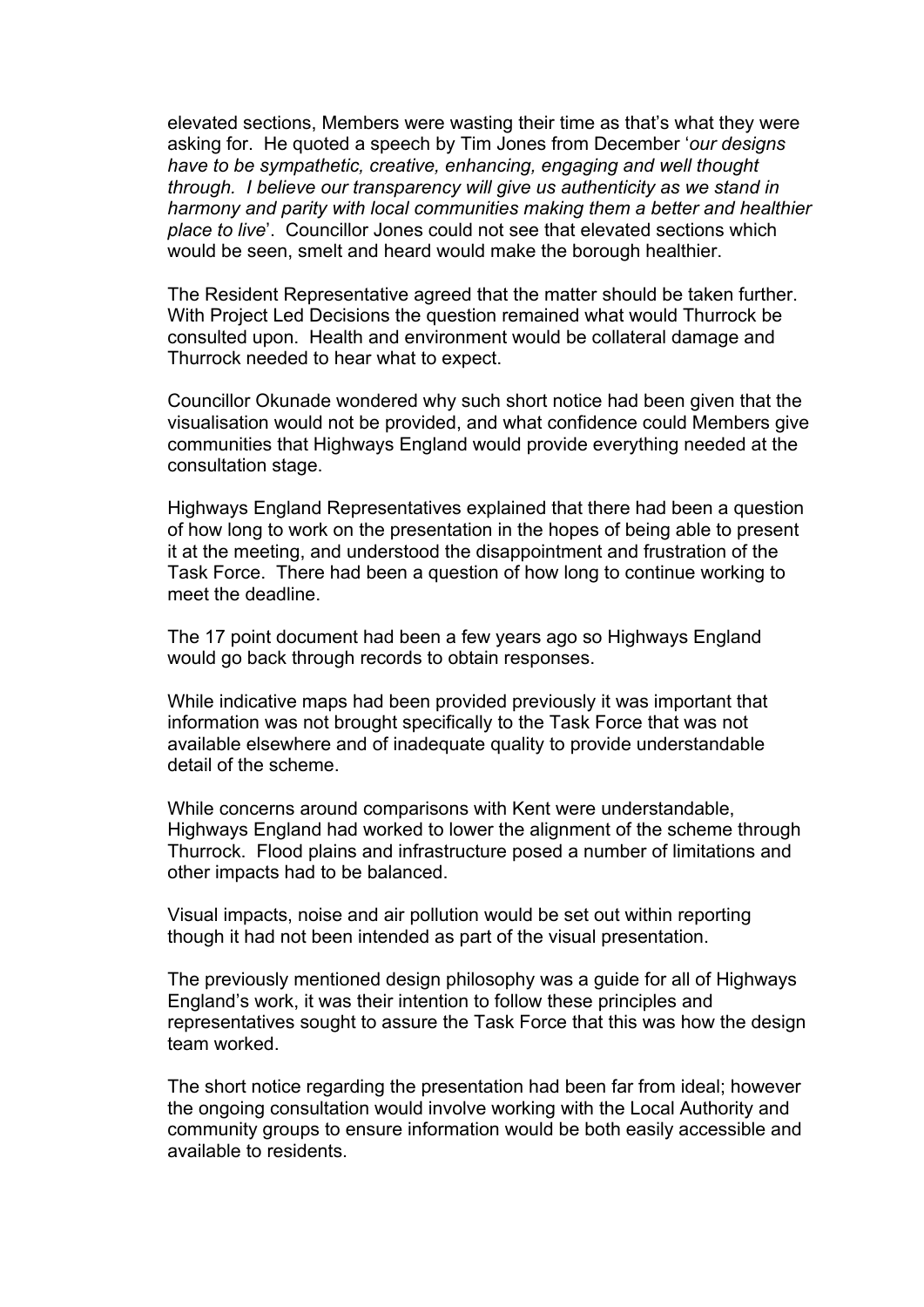elevated sections, Members were wasting their time as that's what they were asking for. He quoted a speech by Tim Jones from December '*our designs have to be sympathetic, creative, enhancing, engaging and well thought through. I believe our transparency will give us authenticity as we stand in harmony and parity with local communities making them a better and healthier place to live*'. Councillor Jones could not see that elevated sections which would be seen, smelt and heard would make the borough healthier.

The Resident Representative agreed that the matter should be taken further. With Project Led Decisions the question remained what would Thurrock be consulted upon. Health and environment would be collateral damage and Thurrock needed to hear what to expect.

Councillor Okunade wondered why such short notice had been given that the visualisation would not be provided, and what confidence could Members give communities that Highways England would provide everything needed at the consultation stage.

Highways England Representatives explained that there had been a question of how long to work on the presentation in the hopes of being able to present it at the meeting, and understood the disappointment and frustration of the Task Force. There had been a question of how long to continue working to meet the deadline.

The 17 point document had been a few years ago so Highways England would go back through records to obtain responses.

While indicative maps had been provided previously it was important that information was not brought specifically to the Task Force that was not available elsewhere and of inadequate quality to provide understandable detail of the scheme.

While concerns around comparisons with Kent were understandable, Highways England had worked to lower the alignment of the scheme through Thurrock. Flood plains and infrastructure posed a number of limitations and other impacts had to be balanced.

Visual impacts, noise and air pollution would be set out within reporting though it had not been intended as part of the visual presentation.

The previously mentioned design philosophy was a guide for all of Highways England's work, it was their intention to follow these principles and representatives sought to assure the Task Force that this was how the design team worked.

The short notice regarding the presentation had been far from ideal; however the ongoing consultation would involve working with the Local Authority and community groups to ensure information would be both easily accessible and available to residents.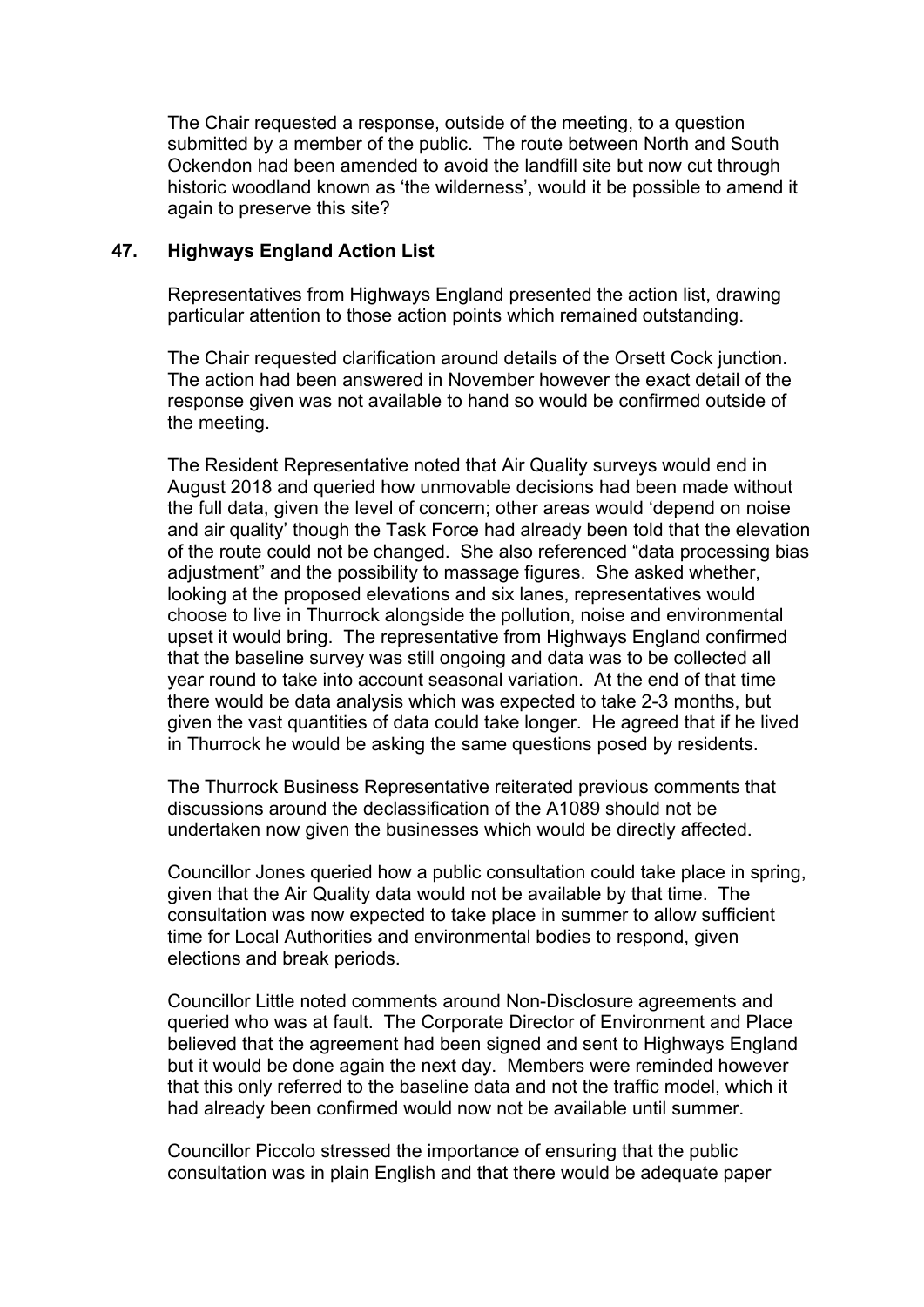The Chair requested a response, outside of the meeting, to a question submitted by a member of the public. The route between North and South Ockendon had been amended to avoid the landfill site but now cut through historic woodland known as 'the wilderness', would it be possible to amend it again to preserve this site?

## **47. Highways England Action List**

Representatives from Highways England presented the action list, drawing particular attention to those action points which remained outstanding.

The Chair requested clarification around details of the Orsett Cock junction. The action had been answered in November however the exact detail of the response given was not available to hand so would be confirmed outside of the meeting.

The Resident Representative noted that Air Quality surveys would end in August 2018 and queried how unmovable decisions had been made without the full data, given the level of concern; other areas would 'depend on noise and air quality' though the Task Force had already been told that the elevation of the route could not be changed. She also referenced "data processing bias adjustment" and the possibility to massage figures. She asked whether, looking at the proposed elevations and six lanes, representatives would choose to live in Thurrock alongside the pollution, noise and environmental upset it would bring. The representative from Highways England confirmed that the baseline survey was still ongoing and data was to be collected all year round to take into account seasonal variation. At the end of that time there would be data analysis which was expected to take 2-3 months, but given the vast quantities of data could take longer. He agreed that if he lived in Thurrock he would be asking the same questions posed by residents.

The Thurrock Business Representative reiterated previous comments that discussions around the declassification of the A1089 should not be undertaken now given the businesses which would be directly affected.

Councillor Jones queried how a public consultation could take place in spring, given that the Air Quality data would not be available by that time. The consultation was now expected to take place in summer to allow sufficient time for Local Authorities and environmental bodies to respond, given elections and break periods.

Councillor Little noted comments around Non-Disclosure agreements and queried who was at fault. The Corporate Director of Environment and Place believed that the agreement had been signed and sent to Highways England but it would be done again the next day. Members were reminded however that this only referred to the baseline data and not the traffic model, which it had already been confirmed would now not be available until summer.

Councillor Piccolo stressed the importance of ensuring that the public consultation was in plain English and that there would be adequate paper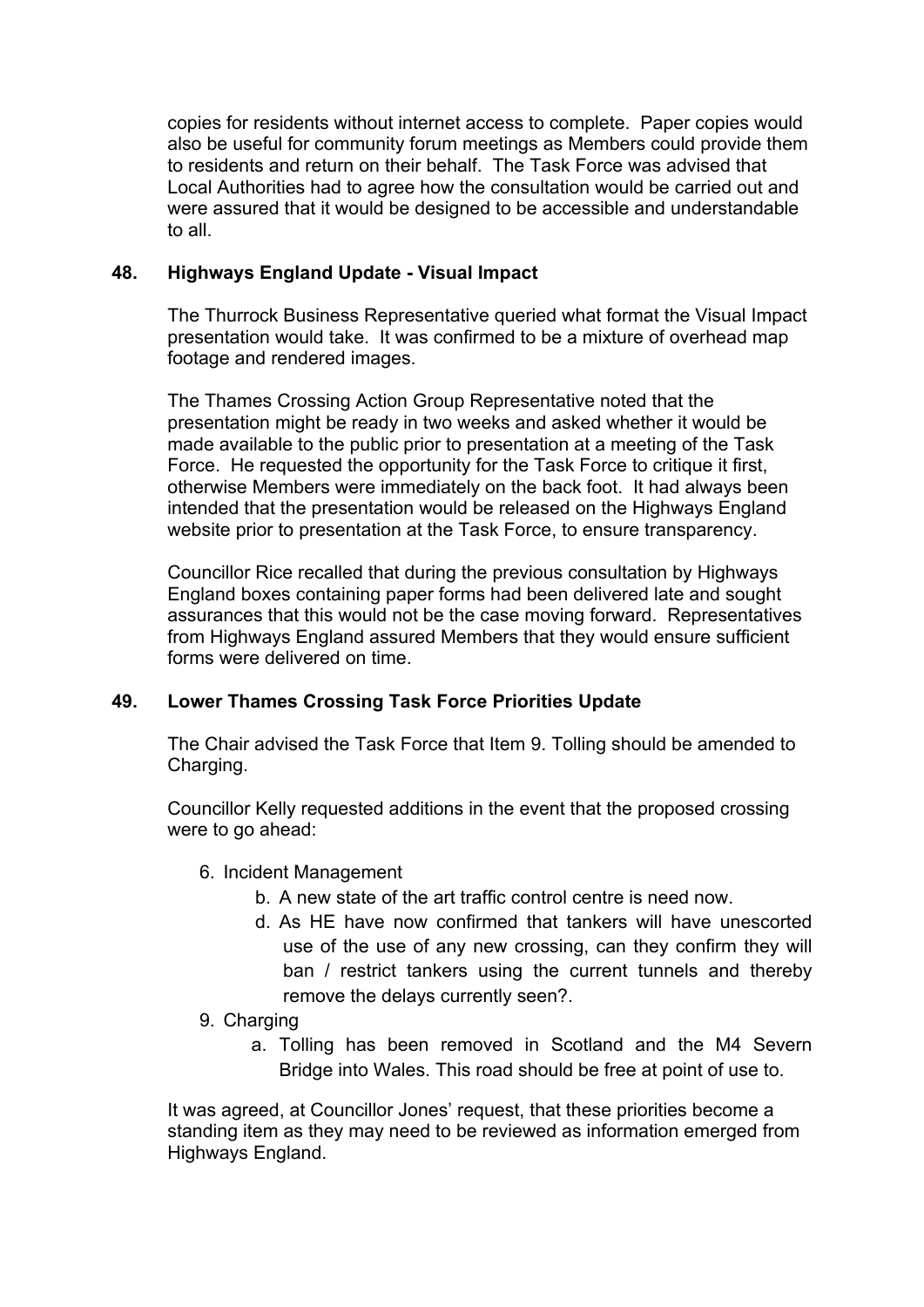copies for residents without internet access to complete. Paper copies would also be useful for community forum meetings as Members could provide them to residents and return on their behalf. The Task Force was advised that Local Authorities had to agree how the consultation would be carried out and were assured that it would be designed to be accessible and understandable to all.

## **48. Highways England Update - Visual Impact**

The Thurrock Business Representative queried what format the Visual Impact presentation would take. It was confirmed to be a mixture of overhead map footage and rendered images.

The Thames Crossing Action Group Representative noted that the presentation might be ready in two weeks and asked whether it would be made available to the public prior to presentation at a meeting of the Task Force. He requested the opportunity for the Task Force to critique it first, otherwise Members were immediately on the back foot. It had always been intended that the presentation would be released on the Highways England website prior to presentation at the Task Force, to ensure transparency.

Councillor Rice recalled that during the previous consultation by Highways England boxes containing paper forms had been delivered late and sought assurances that this would not be the case moving forward. Representatives from Highways England assured Members that they would ensure sufficient forms were delivered on time.

# **49. Lower Thames Crossing Task Force Priorities Update**

The Chair advised the Task Force that Item 9. Tolling should be amended to Charging.

Councillor Kelly requested additions in the event that the proposed crossing were to go ahead:

- 6. Incident Management
	- b. A new state of the art traffic control centre is need now.
	- d. As HE have now confirmed that tankers will have unescorted use of the use of any new crossing, can they confirm they will ban / restrict tankers using the current tunnels and thereby remove the delays currently seen?.
- 9. Charging
	- a. Tolling has been removed in Scotland and the M4 Severn Bridge into Wales. This road should be free at point of use to.

It was agreed, at Councillor Jones' request, that these priorities become a standing item as they may need to be reviewed as information emerged from Highways England.